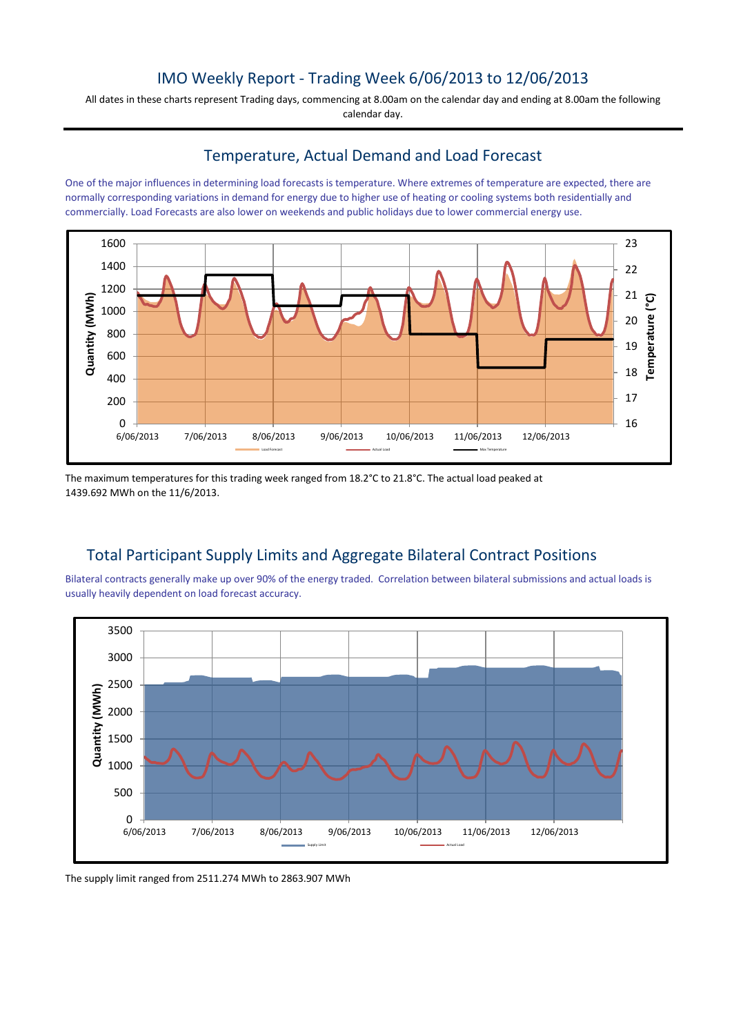## IMO Weekly Report - Trading Week 6/06/2013 to 12/06/2013

All dates in these charts represent Trading days, commencing at 8.00am on the calendar day and ending at 8.00am the following calendar day.

## Temperature, Actual Demand and Load Forecast

One of the major influences in determining load forecasts is temperature. Where extremes of temperature are expected, there are normally corresponding variations in demand for energy due to higher use of heating or cooling systems both residentially and commercially. Load Forecasts are also lower on weekends and public holidays due to lower commercial energy use.



The maximum temperatures for this trading week ranged from 18.2°C to 21.8°C. The actual load peaked at 1439.692 MWh on the 11/6/2013.

# Total Participant Supply Limits and Aggregate Bilateral Contract Positions

Bilateral contracts generally make up over 90% of the energy traded. Correlation between bilateral submissions and actual loads is usually heavily dependent on load forecast accuracy.



The supply limit ranged from 2511.274 MWh to 2863.907 MWh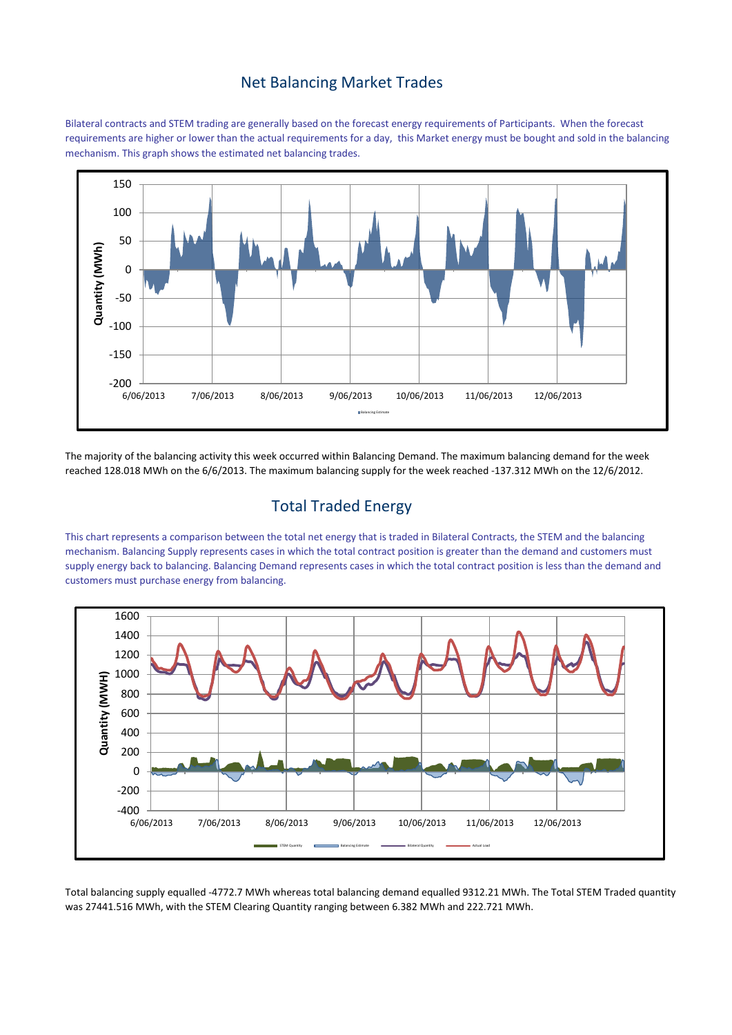#### Net Balancing Market Trades

Bilateral contracts and STEM trading are generally based on the forecast energy requirements of Participants. When the forecast requirements are higher or lower than the actual requirements for a day, this Market energy must be bought and sold in the balancing mechanism. This graph shows the estimated net balancing trades.



The majority of the balancing activity this week occurred within Balancing Demand. The maximum balancing demand for the week reached 128.018 MWh on the 6/6/2013. The maximum balancing supply for the week reached -137.312 MWh on the 12/6/2012.

### Total Traded Energy

This chart represents a comparison between the total net energy that is traded in Bilateral Contracts, the STEM and the balancing mechanism. Balancing Supply represents cases in which the total contract position is greater than the demand and customers must supply energy back to balancing. Balancing Demand represents cases in which the total contract position is less than the demand and customers must purchase energy from balancing.



Total balancing supply equalled -4772.7 MWh whereas total balancing demand equalled 9312.21 MWh. The Total STEM Traded quantity was 27441.516 MWh, with the STEM Clearing Quantity ranging between 6.382 MWh and 222.721 MWh.